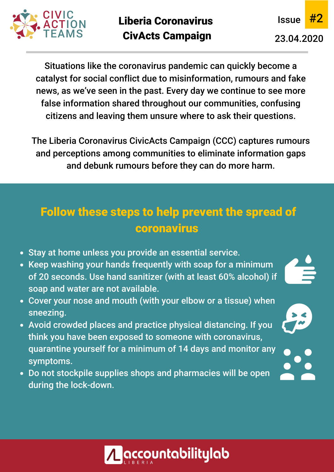



Situations like the coronavirus pandemic can quickly become a catalyst for social conflict due to misinformation, rumours and fake news, as we've seen in the past. Every day we continue to see more false information shared throughout our communities, confusing citizens and leaving them unsure where to ask their questions.

The Liberia Coronavirus CivicActs Campaign (CCC) captures rumours and perceptions among communities to eliminate information gaps and debunk rumours before they can do more harm.

## Follow these steps to help prevent the spread of coronavirus

- Stay at home unless you provide an essential service.
- Keep washing your hands frequently with soap for a minimum of 20 seconds. Use hand sanitizer (with at least 60% alcohol) if soap and water are not available.
- Cover your nose and mouth (with your elbow or a tissue) when sneezing.
- Avoid crowded places and practice physical distancing. If you think you have been exposed to someone with coronavirus, quarantine yourself for a minimum of 14 days and monitor any symptoms.
- Do not stockpile supplies shops and pharmacies will be open during the lock-down.

<u>:countabilitylab</u>